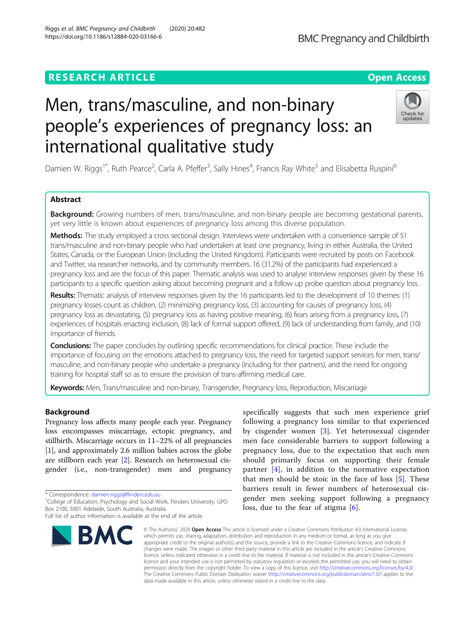## **RESEARCH ARTICLE Example 2014 12:30 The Contract of Contract ACCESS**

# Men, trans/masculine, and non-binary people's experiences of pregnancy loss: an international qualitative study

Damien W. Riggs<sup>1\*</sup>, Ruth Pearce<sup>2</sup>, Carla A. Pfeffer<sup>3</sup>, Sally Hines<sup>4</sup>, Francis Ray White<sup>5</sup> and Elisabetta Ruspini<sup>6</sup>

## Abstract

Background: Growing numbers of men, trans/masculine, and non-binary people are becoming gestational parents, yet very little is known about experiences of pregnancy loss among this diverse population.

Methods: The study employed a cross sectional design. Interviews were undertaken with a convenience sample of 51 trans/masculine and non-binary people who had undertaken at least one pregnancy, living in either Australia, the United States, Canada, or the European Union (including the United Kingdom). Participants were recruited by posts on Facebook and Twitter, via researcher networks, and by community members. 16 (31.2%) of the participants had experienced a pregnancy loss and are the focus of this paper. Thematic analysis was used to analyse interview responses given by these 16 participants to a specific question asking about becoming pregnant and a follow up probe question about pregnancy loss.

Results: Thematic analysis of interview responses given by the 16 participants led to the development of 10 themes: (1) pregnancy losses count as children, (2) minimizing pregnancy loss, (3) accounting for causes of pregnancy loss, (4) pregnancy loss as devastating, (5) pregnancy loss as having positive meaning, (6) fears arising from a pregnancy loss, (7) experiences of hospitals enacting inclusion, (8) lack of formal support offered, (9) lack of understanding from family, and (10) importance of friends.

**Conclusions:** The paper concludes by outlining specific recommendations for clinical practice. These include the importance of focusing on the emotions attached to pregnancy loss, the need for targeted support services for men, trans/ masculine, and non-binary people who undertake a pregnancy (including for their partners), and the need for ongoing training for hospital staff so as to ensure the provision of trans-affirming medical care.

Keywords: Men, Trans/masculine and non-binary, Transgender, Pregnancy loss, Reproduction, Miscarriage

## Background

Pregnancy loss affects many people each year. Pregnancy loss encompasses miscarriage, ectopic pregnancy, and stillbirth. Miscarriage occurs in 11–22% of all pregnancies [[1\]](#page-8-0), and approximately 2.6 million babies across the globe are stillborn each year [\[2\]](#page-8-0). Research on heterosexual cisgender (i.e., non-transgender) men and pregnancy

\* Correspondence: [damien.riggs@flinders.edu.au](mailto:damien.riggs@flinders.edu.au) <sup>1</sup>

<sup>1</sup>College of Education, Psychology and Social Work, Flinders University, GPO Box 2100, 5001 Adelaide, South Australia, Australia

https://doi.org/10.1186/s12884-020-03166-6



specifically suggests that such men experience grief following a pregnancy loss similar to that experienced by cisgender women [[3\]](#page-8-0). Yet heterosexual cisgender men face considerable barriers to support following a pregnancy loss, due to the expectation that such men should primarily focus on supporting their female partner [[4\]](#page-8-0), in addition to the normative expectation that men should be stoic in the face of loss [\[5](#page-8-0)]. These barriers result in fewer numbers of heterosexual cisgender men seeking support following a pregnancy loss, due to the fear of stigma [\[6](#page-8-0)].

© The Author(s), 2020 **Open Access** This article is licensed under a Creative Commons Attribution 4.0 International License, which permits use, sharing, adaptation, distribution and reproduction in any medium or format, as long as you give appropriate credit to the original author(s) and the source, provide a link to the Creative Commons licence, and indicate if changes were made. The images or other third party material in this article are included in the article's Creative Commons licence, unless indicated otherwise in a credit line to the material. If material is not included in the article's Creative Commons licence and your intended use is not permitted by statutory regulation or exceeds the permitted use, you will need to obtain permission directly from the copyright holder. To view a copy of this licence, visit [http://creativecommons.org/licenses/by/4.0/.](http://creativecommons.org/licenses/by/4.0/) The Creative Commons Public Domain Dedication waiver [\(http://creativecommons.org/publicdomain/zero/1.0/](http://creativecommons.org/publicdomain/zero/1.0/)) applies to the data made available in this article, unless otherwise stated in a credit line to the data.

**BMC Pregnancy and Childbirth** 





Full list of author information is available at the end of the article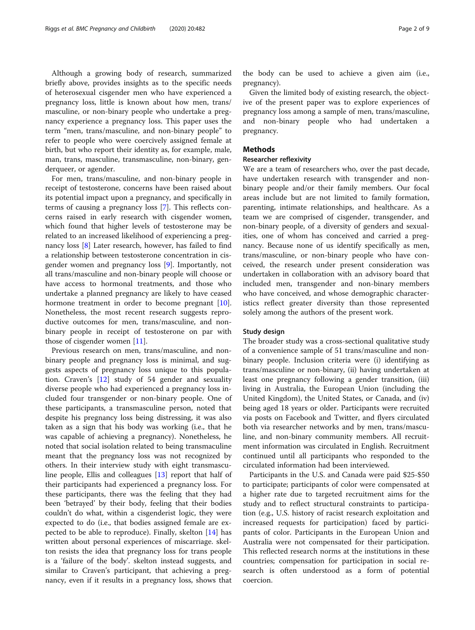Although a growing body of research, summarized briefly above, provides insights as to the specific needs of heterosexual cisgender men who have experienced a pregnancy loss, little is known about how men, trans/ masculine, or non-binary people who undertake a pregnancy experience a pregnancy loss. This paper uses the term "men, trans/masculine, and non-binary people" to refer to people who were coercively assigned female at birth, but who report their identity as, for example, male, man, trans, masculine, transmasculine, non-binary, genderqueer, or agender.

For men, trans/masculine, and non-binary people in receipt of testosterone, concerns have been raised about its potential impact upon a pregnancy, and specifically in terms of causing a pregnancy loss [[7\]](#page-8-0). This reflects concerns raised in early research with cisgender women, which found that higher levels of testosterone may be related to an increased likelihood of experiencing a pregnancy loss [[8\]](#page-8-0) Later research, however, has failed to find a relationship between testosterone concentration in cisgender women and pregnancy loss [\[9](#page-8-0)]. Importantly, not all trans/masculine and non-binary people will choose or have access to hormonal treatments, and those who undertake a planned pregnancy are likely to have ceased hormone treatment in order to become pregnant [\[10](#page-8-0)]. Nonetheless, the most recent research suggests reproductive outcomes for men, trans/masculine, and nonbinary people in receipt of testosterone on par with those of cisgender women [[11\]](#page-8-0).

Previous research on men, trans/masculine, and nonbinary people and pregnancy loss is minimal, and suggests aspects of pregnancy loss unique to this population. Craven's [[12\]](#page-8-0) study of 54 gender and sexuality diverse people who had experienced a pregnancy loss included four transgender or non-binary people. One of these participants, a transmasculine person, noted that despite his pregnancy loss being distressing, it was also taken as a sign that his body was working (i.e., that he was capable of achieving a pregnancy). Nonetheless, he noted that social isolation related to being transmaculine meant that the pregnancy loss was not recognized by others. In their interview study with eight transmasculine people, Ellis and colleagues [\[13](#page-8-0)] report that half of their participants had experienced a pregnancy loss. For these participants, there was the feeling that they had been 'betrayed' by their body, feeling that their bodies couldn't do what, within a cisgenderist logic, they were expected to do (i.e., that bodies assigned female are expected to be able to reproduce). Finally, skelton [[14\]](#page-8-0) has written about personal experiences of miscarriage. skelton resists the idea that pregnancy loss for trans people is a 'failure of the body'. skelton instead suggests, and similar to Craven's participant, that achieving a pregnancy, even if it results in a pregnancy loss, shows that

the body can be used to achieve a given aim (i.e., pregnancy).

Given the limited body of existing research, the objective of the present paper was to explore experiences of pregnancy loss among a sample of men, trans/masculine, and non-binary people who had undertaken a pregnancy.

## Methods

## Researcher reflexivity

We are a team of researchers who, over the past decade, have undertaken research with transgender and nonbinary people and/or their family members. Our focal areas include but are not limited to family formation, parenting, intimate relationships, and healthcare. As a team we are comprised of cisgender, transgender, and non-binary people, of a diversity of genders and sexualities, one of whom has conceived and carried a pregnancy. Because none of us identify specifically as men, trans/masculine, or non-binary people who have conceived, the research under present consideration was undertaken in collaboration with an advisory board that included men, transgender and non-binary members who have conceived, and whose demographic characteristics reflect greater diversity than those represented solely among the authors of the present work.

## Study design

The broader study was a cross-sectional qualitative study of a convenience sample of 51 trans/masculine and nonbinary people. Inclusion criteria were (i) identifying as trans/masculine or non-binary, (ii) having undertaken at least one pregnancy following a gender transition, (iii) living in Australia, the European Union (including the United Kingdom), the United States, or Canada, and (iv) being aged 18 years or older. Participants were recruited via posts on Facebook and Twitter, and flyers circulated both via researcher networks and by men, trans/masculine, and non-binary community members. All recruitment information was circulated in English. Recruitment continued until all participants who responded to the circulated information had been interviewed.

Participants in the U.S. and Canada were paid \$25-\$50 to participate; participants of color were compensated at a higher rate due to targeted recruitment aims for the study and to reflect structural constraints to participation (e.g., U.S. history of racist research exploitation and increased requests for participation) faced by participants of color. Participants in the European Union and Australia were not compensated for their participation. This reflected research norms at the institutions in these countries; compensation for participation in social research is often understood as a form of potential coercion.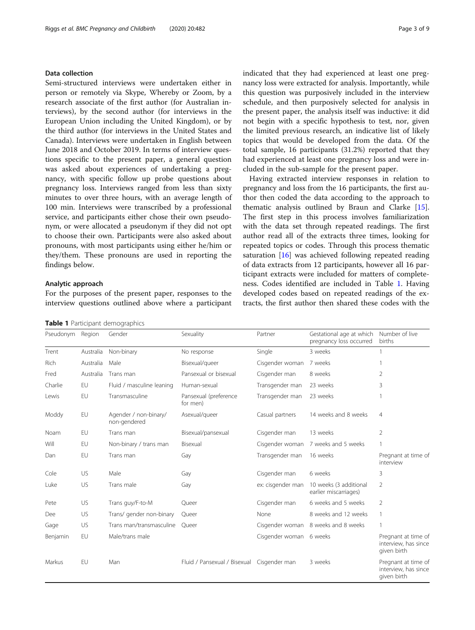## <span id="page-2-0"></span>Data collection

Semi-structured interviews were undertaken either in person or remotely via Skype, Whereby or Zoom, by a research associate of the first author (for Australian interviews), by the second author (for interviews in the European Union including the United Kingdom), or by the third author (for interviews in the United States and Canada). Interviews were undertaken in English between June 2018 and October 2019. In terms of interview questions specific to the present paper, a general question was asked about experiences of undertaking a pregnancy, with specific follow up probe questions about pregnancy loss. Interviews ranged from less than sixty minutes to over three hours, with an average length of 100 min. Interviews were transcribed by a professional service, and participants either chose their own pseudonym, or were allocated a pseudonym if they did not opt to choose their own. Participants were also asked about pronouns, with most participants using either he/him or they/them. These pronouns are used in reporting the findings below.

## Analytic approach

For the purposes of the present paper, responses to the interview questions outlined above where a participant

|  |  | Table 1 Participant demographics |
|--|--|----------------------------------|
|--|--|----------------------------------|

indicated that they had experienced at least one pregnancy loss were extracted for analysis. Importantly, while this question was purposively included in the interview schedule, and then purposively selected for analysis in the present paper, the analysis itself was inductive: it did not begin with a specific hypothesis to test, nor, given the limited previous research, an indicative list of likely topics that would be developed from the data. Of the total sample, 16 participants (31.2%) reported that they had experienced at least one pregnancy loss and were included in the sub-sample for the present paper.

Having extracted interview responses in relation to pregnancy and loss from the 16 participants, the first author then coded the data according to the approach to thematic analysis outlined by Braun and Clarke [\[15](#page-8-0)]. The first step in this process involves familiarization with the data set through repeated readings. The first author read all of the extracts three times, looking for repeated topics or codes. Through this process thematic saturation [[16\]](#page-8-0) was achieved following repeated reading of data extracts from 12 participants, however all 16 participant extracts were included for matters of completeness. Codes identified are included in Table 1. Having developed codes based on repeated readings of the extracts, the first author then shared these codes with the

| Pseudonym Region |           | Gender                                | Sexuality                         | Partner           | Gestational age at which<br>pregnancy loss occurred | Number of live<br>births                                   |
|------------------|-----------|---------------------------------------|-----------------------------------|-------------------|-----------------------------------------------------|------------------------------------------------------------|
| Trent            | Australia | Non-binary                            | No response                       | Single            | 3 weeks                                             | 1                                                          |
| Rich             | Australia | Male                                  | Bisexual/queer                    | Cisgender woman   | 7 weeks                                             | 1                                                          |
| Fred             | Australia | Trans man                             | Pansexual or bisexual             | Cisgender man     | 8 weeks                                             | $\mathcal{P}$                                              |
| Charlie          | EU        | Fluid / masculine leaning             | Human-sexual                      | Transgender man   | 23 weeks                                            | 3                                                          |
| Lewis            | EU        | Transmasculine                        | Pansexual (preference<br>for men) | Transgender man   | 23 weeks                                            | 1                                                          |
| Moddy            | EU        | Agender / non-binary/<br>non-gendered | Asexual/queer                     | Casual partners   | 14 weeks and 8 weeks                                | $\overline{4}$                                             |
| Noam             | EU        | Trans man                             | Bisexual/pansexual                | Cisgender man     | 13 weeks                                            | 2                                                          |
| Will             | EU        | Non-binary / trans man                | Bisexual                          | Cisgender woman   | 7 weeks and 5 weeks                                 | 1                                                          |
| Dan              | EU        | Trans man                             | Gay                               | Transgender man   | 16 weeks                                            | Pregnant at time of<br>interview                           |
| Cole             | US        | Male                                  | Gay                               | Cisgender man     | 6 weeks                                             | 3                                                          |
| Luke             | US        | Trans male                            | Gay                               | ex: cisgender man | 10 weeks (3 additional<br>earlier miscarriages)     | 2                                                          |
| Pete             | US        | Trans guy/F-to-M                      | Oueer                             | Cisgender man     | 6 weeks and 5 weeks                                 | 2                                                          |
| Dee              | US        | Trans/ gender non-binary              | Oueer                             | None              | 8 weeks and 12 weeks                                | $\mathbf{1}$                                               |
| Gage             | US        | Trans man/transmasculine              | Oueer                             | Cisgender woman   | 8 weeks and 8 weeks                                 | 1                                                          |
| Benjamin         | EU        | Male/trans male                       |                                   | Cisgender woman   | 6 weeks                                             | Pregnant at time of<br>interview, has since<br>given birth |
| Markus           | EU        | Man                                   | Fluid / Pansexual / Bisexual      | Cisgender man     | 3 weeks                                             | Pregnant at time of<br>interview, has since<br>given birth |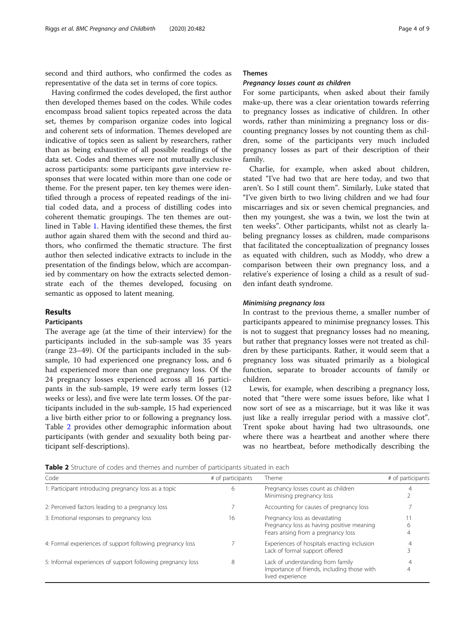second and third authors, who confirmed the codes as representative of the data set in terms of core topics.

Having confirmed the codes developed, the first author then developed themes based on the codes. While codes encompass broad salient topics repeated across the data set, themes by comparison organize codes into logical and coherent sets of information. Themes developed are indicative of topics seen as salient by researchers, rather than as being exhaustive of all possible readings of the data set. Codes and themes were not mutually exclusive across participants: some participants gave interview responses that were located within more than one code or theme. For the present paper, ten key themes were identified through a process of repeated readings of the initial coded data, and a process of distilling codes into coherent thematic groupings. The ten themes are outlined in Table [1.](#page-2-0) Having identified these themes, the first author again shared them with the second and third authors, who confirmed the thematic structure. The first author then selected indicative extracts to include in the presentation of the findings below, which are accompanied by commentary on how the extracts selected demonstrate each of the themes developed, focusing on semantic as opposed to latent meaning.

## Results

## Participants

The average age (at the time of their interview) for the participants included in the sub-sample was 35 years (range 23–49). Of the participants included in the subsample, 10 had experienced one pregnancy loss, and 6 had experienced more than one pregnancy loss. Of the 24 pregnancy losses experienced across all 16 participants in the sub-sample, 19 were early term losses (12 weeks or less), and five were late term losses. Of the participants included in the sub-sample, 15 had experienced a live birth either prior to or following a pregnancy loss. Table 2 provides other demographic information about participants (with gender and sexuality both being participant self-descriptions).

## Themes

### Pregnancy losses count as children

For some participants, when asked about their family make-up, there was a clear orientation towards referring to pregnancy losses as indicative of children. In other words, rather than minimizing a pregnancy loss or discounting pregnancy losses by not counting them as children, some of the participants very much included pregnancy losses as part of their description of their family.

Charlie, for example, when asked about children, stated "I've had two that are here today, and two that aren't. So I still count them". Similarly, Luke stated that "I've given birth to two living children and we had four miscarriages and six or seven chemical pregnancies, and then my youngest, she was a twin, we lost the twin at ten weeks". Other participants, whilst not as clearly labeling pregnancy losses as children, made comparisons that facilitated the conceptualization of pregnancy losses as equated with children, such as Moddy, who drew a comparison between their own pregnancy loss, and a relative's experience of losing a child as a result of sudden infant death syndrome.

## Minimising pregnancy loss

In contrast to the previous theme, a smaller number of participants appeared to minimise pregnancy losses. This is not to suggest that pregnancy losses had no meaning, but rather that pregnancy losses were not treated as children by these participants. Rather, it would seem that a pregnancy loss was situated primarily as a biological function, separate to broader accounts of family or children.

Lewis, for example, when describing a pregnancy loss, noted that "there were some issues before, like what I now sort of see as a miscarriage, but it was like it was just like a really irregular period with a massive clot". Trent spoke about having had two ultrasounds, one where there was a heartbeat and another where there was no heartbeat, before methodically describing the

Table 2 Structure of codes and themes and number of participants situated in each

| Code                                                        | # of participants | Theme                                                                                                             | # of participants |
|-------------------------------------------------------------|-------------------|-------------------------------------------------------------------------------------------------------------------|-------------------|
| 1: Participant introducing pregnancy loss as a topic        | 6                 | Pregnancy losses count as children<br>Minimising pregnancy loss                                                   |                   |
| 2: Perceived factors leading to a pregnancy loss            |                   | Accounting for causes of pregnancy loss                                                                           |                   |
| 3: Emotional responses to pregnancy loss                    | 16                | Pregnancy loss as devastating<br>Pregnancy loss as having positive meaning<br>Fears arising from a pregnancy loss | h                 |
| 4: Formal experiences of support following pregnancy loss   |                   | Experiences of hospitals enacting inclusion<br>Lack of formal support offered                                     |                   |
| 5: Informal experiences of support following pregnancy loss | 8                 | Lack of understanding from family<br>Importance of friends, including those with<br>lived experience              |                   |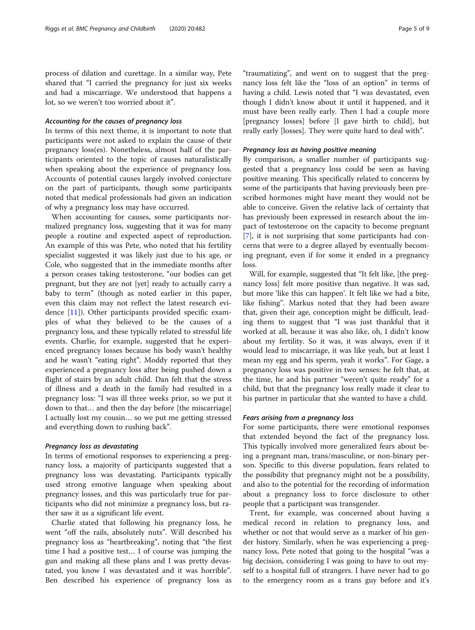process of dilation and curettage. In a similar way, Pete shared that "I carried the pregnancy for just six weeks and had a miscarriage. We understood that happens a lot, so we weren't too worried about it".

### Accounting for the causes of pregnancy loss

In terms of this next theme, it is important to note that participants were not asked to explain the cause of their pregnancy loss(es). Nonetheless, almost half of the participants oriented to the topic of causes naturalistically when speaking about the experience of pregnancy loss. Accounts of potential causes largely involved conjecture on the part of participants, though some participants noted that medical professionals had given an indication of why a pregnancy loss may have occurred.

When accounting for causes, some participants normalized pregnancy loss, suggesting that it was for many people a routine and expected aspect of reproduction. An example of this was Pete, who noted that his fertility specialist suggested it was likely just due to his age, or Cole, who suggested that in the immediate months after a person ceases taking testosterone, "our bodies can get pregnant, but they are not [yet] ready to actually carry a baby to term" (though as noted earlier in this paper, even this claim may not reflect the latest research evidence [[11\]](#page-8-0)). Other participants provided specific examples of what they believed to be the causes of a pregnancy loss, and these typically related to stressful life events. Charlie, for example, suggested that he experienced pregnancy losses because his body wasn't healthy and he wasn't "eating right". Moddy reported that they experienced a pregnancy loss after being pushed down a flight of stairs by an adult child. Dan felt that the stress of illness and a death in the family had resulted in a pregnancy loss: "I was ill three weeks prior, so we put it down to that… and then the day before [the miscarriage] I actually lost my cousin… so we put me getting stressed and everything down to rushing back".

## Pregnancy loss as devastating

In terms of emotional responses to experiencing a pregnancy loss, a majority of participants suggested that a pregnancy loss was devastating. Participants typically used strong emotive language when speaking about pregnancy losses, and this was particularly true for participants who did not minimize a pregnancy loss, but rather saw it as a significant life event.

Charlie stated that following his pregnancy loss, he went "off the rails, absolutely nuts". Will described his pregnancy loss as "heartbreaking", noting that "the first time I had a positive test… I of course was jumping the gun and making all these plans and I was pretty devastated, you know I was devastated and it was horrible". Ben described his experience of pregnancy loss as

"traumatizing", and went on to suggest that the pregnancy loss felt like the "loss of an option" in terms of having a child. Lewis noted that "I was devastated, even though I didn't know about it until it happened, and it must have been really early. Then I had a couple more [pregnancy losses] before [I gave birth to child], but really early [losses]. They were quite hard to deal with".

#### Pregnancy loss as having positive meaning

By comparison, a smaller number of participants suggested that a pregnancy loss could be seen as having positive meaning. This specifically related to concerns by some of the participants that having previously been prescribed hormones might have meant they would not be able to conceive. Given the relative lack of certainty that has previously been expressed in research about the impact of testosterone on the capacity to become pregnant [[7\]](#page-8-0), it is not surprising that some participants had concerns that were to a degree allayed by eventually becoming pregnant, even if for some it ended in a pregnancy loss.

Will, for example, suggested that "It felt like, [the pregnancy loss] felt more positive than negative. It was sad, but more 'like this can happen'. It felt like we had a bite, like fishing". Markus noted that they had been aware that, given their age, conception might be difficult, leading them to suggest that "I was just thankful that it worked at all, because it was also like, oh, I didn't know about my fertility. So it was, it was always, even if it would lead to miscarriage, it was like yeah, but at least I mean my egg and his sperm, yeah it works". For Gage, a pregnancy loss was positive in two senses: he felt that, at the time, he and his partner "weren't quite ready" for a child, but that the pregnancy loss really made it clear to his partner in particular that she wanted to have a child.

## Fears arising from a pregnancy loss

For some participants, there were emotional responses that extended beyond the fact of the pregnancy loss. This typically involved more generalized fears about being a pregnant man, trans/masculine, or non-binary person. Specific to this diverse population, fears related to the possibility that pregnancy might not be a possibility, and also to the potential for the recording of information about a pregnancy loss to force disclosure to other people that a participant was transgender.

Trent, for example, was concerned about having a medical record in relation to pregnancy loss, and whether or not that would serve as a marker of his gender history. Similarly, when he was experiencing a pregnancy loss, Pete noted that going to the hospital "was a big decision, considering I was going to have to out myself to a hospital full of strangers. I have never had to go to the emergency room as a trans guy before and it's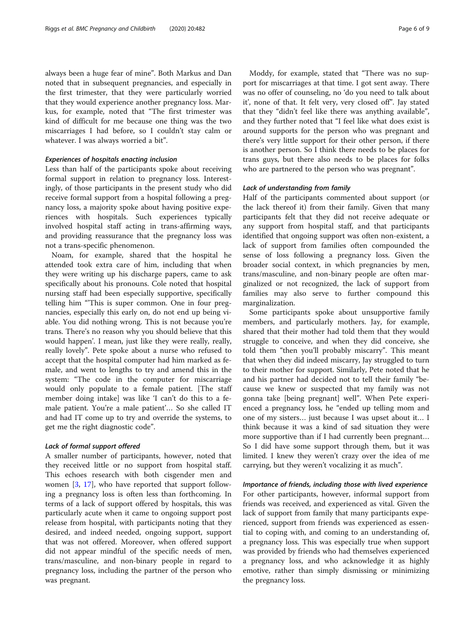always been a huge fear of mine". Both Markus and Dan noted that in subsequent pregnancies, and especially in the first trimester, that they were particularly worried that they would experience another pregnancy loss. Markus, for example, noted that "The first trimester was kind of difficult for me because one thing was the two miscarriages I had before, so I couldn't stay calm or whatever. I was always worried a bit".

## Experiences of hospitals enacting inclusion

Less than half of the participants spoke about receiving formal support in relation to pregnancy loss. Interestingly, of those participants in the present study who did receive formal support from a hospital following a pregnancy loss, a majority spoke about having positive experiences with hospitals. Such experiences typically involved hospital staff acting in trans-affirming ways, and providing reassurance that the pregnancy loss was not a trans-specific phenomenon.

Noam, for example, shared that the hospital he attended took extra care of him, including that when they were writing up his discharge papers, came to ask specifically about his pronouns. Cole noted that hospital nursing staff had been especially supportive, specifically telling him "'This is super common. One in four pregnancies, especially this early on, do not end up being viable. You did nothing wrong. This is not because you're trans. There's no reason why you should believe that this would happen'. I mean, just like they were really, really, really lovely". Pete spoke about a nurse who refused to accept that the hospital computer had him marked as female, and went to lengths to try and amend this in the system: "The code in the computer for miscarriage would only populate to a female patient. [The staff member doing intake] was like 'I can't do this to a female patient. You're a male patient'… So she called IT and had IT come up to try and override the systems, to get me the right diagnostic code".

## Lack of formal support offered

A smaller number of participants, however, noted that they received little or no support from hospital staff. This echoes research with both cisgender men and women [[3,](#page-8-0) [17\]](#page-8-0), who have reported that support following a pregnancy loss is often less than forthcoming. In terms of a lack of support offered by hospitals, this was particularly acute when it came to ongoing support post release from hospital, with participants noting that they desired, and indeed needed, ongoing support, support that was not offered. Moreover, when offered support did not appear mindful of the specific needs of men, trans/masculine, and non-binary people in regard to pregnancy loss, including the partner of the person who was pregnant.

Moddy, for example, stated that "There was no support for miscarriages at that time. I got sent away. There was no offer of counseling, no 'do you need to talk about it', none of that. It felt very, very closed off". Jay stated that they "didn't feel like there was anything available", and they further noted that "I feel like what does exist is around supports for the person who was pregnant and there's very little support for their other person, if there is another person. So I think there needs to be places for trans guys, but there also needs to be places for folks who are partnered to the person who was pregnant".

## Lack of understanding from family

Half of the participants commented about support (or the lack thereof it) from their family. Given that many participants felt that they did not receive adequate or any support from hospital staff, and that participants identified that ongoing support was often non-existent, a lack of support from families often compounded the sense of loss following a pregnancy loss. Given the broader social context, in which pregnancies by men, trans/masculine, and non-binary people are often marginalized or not recognized, the lack of support from families may also serve to further compound this marginalization.

Some participants spoke about unsupportive family members, and particularly mothers. Jay, for example, shared that their mother had told them that they would struggle to conceive, and when they did conceive, she told them "then you'll probably miscarry". This meant that when they did indeed miscarry, Jay struggled to turn to their mother for support. Similarly, Pete noted that he and his partner had decided not to tell their family "because we knew or suspected that my family was not gonna take [being pregnant] well". When Pete experienced a pregnancy loss, he "ended up telling mom and one of my sisters… just because I was upset about it… I think because it was a kind of sad situation they were more supportive than if I had currently been pregnant… So I did have some support through them, but it was limited. I knew they weren't crazy over the idea of me carrying, but they weren't vocalizing it as much".

## Importance of friends, including those with lived experience

For other participants, however, informal support from friends was received, and experienced as vital. Given the lack of support from family that many participants experienced, support from friends was experienced as essential to coping with, and coming to an understanding of, a pregnancy loss. This was especially true when support was provided by friends who had themselves experienced a pregnancy loss, and who acknowledge it as highly emotive, rather than simply dismissing or minimizing the pregnancy loss.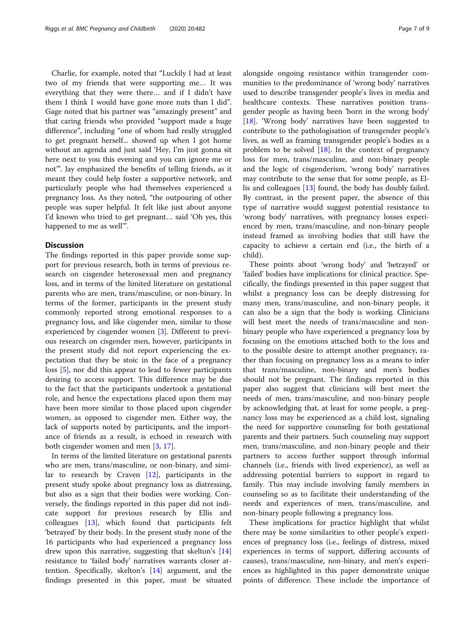Charlie, for example, noted that "Luckily I had at least two of my friends that were supporting me… It was everything that they were there… and if I didn't have them I think I would have gone more nuts than I did". Gage noted that his partner was "amazingly present" and that caring friends who provided "support made a huge difference", including "one of whom had really struggled to get pregnant herself... showed up when I got home without an agenda and just said 'Hey, I'm just gonna sit here next to you this evening and you can ignore me or not'". Jay emphasized the benefits of telling friends, as it meant they could help foster a supportive network, and particularly people who had themselves experienced a pregnancy loss. As they noted, "the outpouring of other people was super helpful. It felt like just about anyone I'd known who tried to get pregnant… said 'Oh yes, this happened to me as well'".

### **Discussion**

The findings reported in this paper provide some support for previous research, both in terms of previous research on cisgender heterosexual men and pregnancy loss, and in terms of the limited literature on gestational parents who are men, trans/masculine, or non-binary. In terms of the former, participants in the present study commonly reported strong emotional responses to a pregnancy loss, and like cisgender men, similar to those experienced by cisgender women [[3\]](#page-8-0). Different to previous research on cisgender men, however, participants in the present study did not report experiencing the expectation that they be stoic in the face of a pregnancy loss [\[5](#page-8-0)], nor did this appear to lead to fewer participants desiring to access support. This difference may be due to the fact that the participants undertook a gestational role, and hence the expectations placed upon them may have been more similar to those placed upon cisgender women, as opposed to cisgender men. Either way, the lack of supports noted by participants, and the importance of friends as a result, is echoed in research with both cisgender women and men [[3,](#page-8-0) [17\]](#page-8-0).

In terms of the limited literature on gestational parents who are men, trans/masculine, or non-binary, and similar to research by Craven [[12\]](#page-8-0), participants in the present study spoke about pregnancy loss as distressing, but also as a sign that their bodies were working. Conversely, the findings reported in this paper did not indicate support for previous research by Ellis and colleagues [[13](#page-8-0)], which found that participants felt 'betrayed' by their body. In the present study none of the 16 participants who had experienced a pregnancy loss drew upon this narrative, suggesting that skelton's [[14](#page-8-0)] resistance to 'failed body' narratives warrants closer attention. Specifically, skelton's [[14\]](#page-8-0) argument, and the findings presented in this paper, must be situated alongside ongoing resistance within transgender communities to the predominance of 'wrong body' narratives used to describe transgender people's lives in media and healthcare contexts. These narratives position transgender people as having been 'born in the wrong body' [[18\]](#page-8-0). 'Wrong body' narratives have been suggested to contribute to the pathologisation of transgender people's lives, as well as framing transgender people's bodies as a problem to be solved  $[18]$  $[18]$ . In the context of pregnancy loss for men, trans/masculine, and non-binary people and the logic of cisgenderism, 'wrong body' narratives may contribute to the sense that for some people, as Ellis and colleagues [[13\]](#page-8-0) found, the body has doubly failed. By contrast, in the present paper, the absence of this type of narrative would suggest potential resistance to 'wrong body' narratives, with pregnancy losses experienced by men, trans/masculine, and non-binary people instead framed as involving bodies that still have the capacity to achieve a certain end (i.e., the birth of a child).

These points about 'wrong body' and 'betrayed' or 'failed' bodies have implications for clinical practice. Specifically, the findings presented in this paper suggest that whilst a pregnancy loss can be deeply distressing for many men, trans/masculine, and non-binary people, it can also be a sign that the body is working. Clinicians will best meet the needs of trans/masculine and nonbinary people who have experienced a pregnancy loss by focusing on the emotions attached both to the loss and to the possible desire to attempt another pregnancy, rather than focusing on pregnancy loss as a means to infer that trans/masculine, non-binary and men's bodies should not be pregnant. The findings reported in this paper also suggest that clinicians will best meet the needs of men, trans/masculine, and non-binary people by acknowledging that, at least for some people, a pregnancy loss may be experienced as a child lost, signaling the need for supportive counseling for both gestational parents and their partners. Such counseling may support men, trans/masculine, and non-binary people and their partners to access further support through informal channels (i.e., friends with lived experience), as well as addressing potential barriers to support in regard to family. This may include involving family members in counseling so as to facilitate their understanding of the needs and experiences of men, trans/masculine, and non-binary people following a pregnancy loss.

These implications for practice highlight that whilst there may be some similarities to other people's experiences of pregnancy loss (i.e., feelings of distress, mixed experiences in terms of support, differing accounts of causes), trans/masculine, non-binary, and men's experiences as highlighted in this paper demonstrate unique points of difference. These include the importance of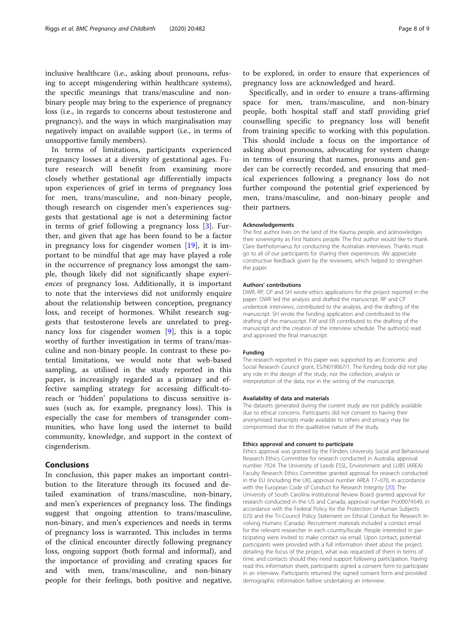inclusive healthcare (i.e., asking about pronouns, refusing to accept misgendering within healthcare systems), the specific meanings that trans/masculine and nonbinary people may bring to the experience of pregnancy loss (i.e., in regards to concerns about testosterone and pregnancy), and the ways in which marginalisation may negatively impact on available support (i.e., in terms of unsupportive family members).

In terms of limitations, participants experienced pregnancy losses at a diversity of gestational ages. Future research will benefit from examining more closely whether gestational age differentially impacts upon experiences of grief in terms of pregnancy loss for men, trans/masculine, and non-binary people, though research on cisgender men's experiences suggests that gestational age is not a determining factor in terms of grief following a pregnancy loss [\[3](#page-8-0)]. Further, and given that age has been found to be a factor in pregnancy loss for cisgender women [[19\]](#page-8-0), it is important to be mindful that age may have played a role in the occurrence of pregnancy loss amongst the sample, though likely did not significantly shape experiences of pregnancy loss. Additionally, it is important to note that the interviews did not uniformly enquire about the relationship between conception, pregnancy loss, and receipt of hormones. Whilst research suggests that testosterone levels are unrelated to pregnancy loss for cisgender women [\[9](#page-8-0)], this is a topic worthy of further investigation in terms of trans/masculine and non-binary people. In contrast to these potential limitations, we would note that web-based sampling, as utilised in the study reported in this paper, is increasingly regarded as a primary and effective sampling strategy for accessing difficult-toreach or 'hidden' populations to discuss sensitive issues (such as, for example, pregnancy loss). This is especially the case for members of transgender communities, who have long used the internet to build community, knowledge, and support in the context of cisgenderism.

## Conclusions

In conclusion, this paper makes an important contribution to the literature through its focused and detailed examination of trans/masculine, non-binary, and men's experiences of pregnancy loss. The findings suggest that ongoing attention to trans/masculine, non-binary, and men's experiences and needs in terms of pregnancy loss is warranted. This includes in terms of the clinical encounter directly following pregnancy loss, ongoing support (both formal and informal), and the importance of providing and creating spaces for and with men, trans/masculine, and non-binary people for their feelings, both positive and negative,

to be explored, in order to ensure that experiences of pregnancy loss are acknowledged and heard.

Specifically, and in order to ensure a trans-affirming space for men, trans/masculine, and non-binary people, both hospital staff and staff providing grief counselling specific to pregnancy loss will benefit from training specific to working with this population. This should include a focus on the importance of asking about pronouns, advocating for system change in terms of ensuring that names, pronouns and gender can be correctly recorded, and ensuring that medical experiences following a pregnancy loss do not further compound the potential grief experienced by men, trans/masculine, and non-binary people and their partners.

### Acknowledgements

The first author lives on the land of the Kaurna people, and acknowledges their sovereignty as First Nations people. The first author would like to thank Clare Bartholomaeus for conducting the Australian interviews. Thanks must go to all of our participants for sharing their experiences. We appreciate constructive feedback given by the reviewers, which helped to strengthen the paper.

#### Authors' contributions

DWR, RP, CP and SH wrote ethics applications for the project reported in the paper. DWR led the analysis and drafted the manuscript. RP and CP undertook interviews, contributed to the analysis, and the drafting of the manuscript. SH wrote the funding application and contributed to the drafting of the manuscript. FW and ER contributed to the drafting of the manuscript and the creation of the interview schedule. The author(s) read and approved the final manuscript.

#### Funding

The research reported in this paper was supported by an Economic and Social Research Council grant, ES/N019067/1. The funding body did not play any role in the design of the study, nor the collection, analysis or interpretation of the data, nor in the writing of the manuscript.

#### Availability of data and materials

The datasets generated during the current study are not publicly available due to ethical concerns. Participants did not consent to having their anonymised transcripts made available to others and privacy may be compromised due to the qualitative nature of the study.

#### Ethics approval and consent to participate

Ethics approval was granted by the Flinders University Social and Behavioural Research Ethics Committee for research conducted in Australia, approval number 7924. The University of Leeds ESSL, Environment and LUBS (AREA) Faculty Research Ethics Committee granted approval for research conducted in the EU (including the UK), approval number AREA 17–070, in accordance with the European Code of Conduct for Research Integrity [[20\]](#page-8-0). The University of South Carolina Institutional Review Board granted approval for research conducted in the US and Canada, approval number Pro00074549, in accordance with the Federal Policy for the Protection of Human Subjects (US) and the Tri-Council Policy Statement on Ethical Conduct for Research Involving Humans (Canada). Recruitment materials included a contact email for the relevant researcher in each country/locale. People interested in participating were invited to make contact via email. Upon contact, potential participants were provided with a full information sheet about the project, detailing the focus of the project, what was requested of them in terms of time, and contacts should they need support following participation. Having read this information sheet, participants signed a consent form to participate in an interview. Participants returned the signed consent form and provided demographic information before undertaking an interview.